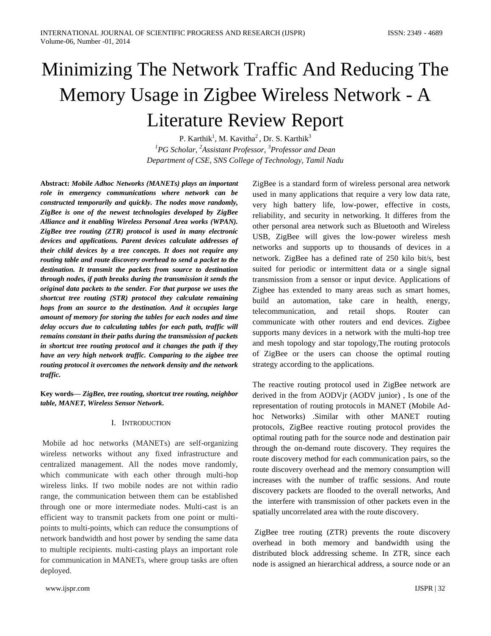# Minimizing The Network Traffic And Reducing The Memory Usage in Zigbee Wireless Network - A Literature Review Report

P. Karthik<sup>1</sup>, M. Kavitha<sup>2</sup>, Dr. S. Karthik<sup>3</sup> *<sup>1</sup>PG Scholar, <sup>2</sup>Assistant Professor, <sup>3</sup>Professor and Dean Department of CSE, SNS College of Technology, Tamil Nadu*

**Abstract:** *Mobile Adhoc Networks (MANETs) plays an important role in emergency communications where network can be constructed temporarily and quickly. The nodes move randomly, ZigBee is one of the newest technologies developed by ZigBee Alliance and it enabling Wireless Personal Area works (WPAN). ZigBee tree routing (ZTR) protocol is used in many electronic devices and applications. Parent devices calculate addresses of their child devices by a tree concepts. It does not require any routing table and route discovery overhead to send a packet to the destination. It transmit the packets from source to destination through nodes, if path breaks during the transmission it sends the original data packets to the sender. For that purpose we uses the shortcut tree routing (STR) protocol they calculate remaining hops from an source to the destination. And it occupies large amount of memory for storing the tables for each nodes and time delay occurs due to calculating tables for each path, traffic will remains constant in their paths during the transmission of packets in shortcut tree routing protocol and it changes the path if they have an very high network traffic. Comparing to the zigbee tree routing protocol it overcomes the network density and the network traffic.*

**Key words—** *ZigBee, tree routing, shortcut tree routing, neighbor table, MANET, Wireless Sensor Network.*

### I. INTRODUCTION

Mobile ad hoc networks (MANETs) are self-organizing wireless networks without any fixed infrastructure and centralized management. All the nodes move randomly, which communicate with each other through multi-hop wireless links. If two mobile nodes are not within radio range, the communication between them can be established through one or more intermediate nodes. Multi-cast is an efficient way to transmit packets from one point or multipoints to multi-points, which can reduce the consumptions of network bandwidth and host power by sending the same data to multiple recipients. multi-casting plays an important role for communication in MANETs, where group tasks are often deployed.

www.ijspr.com IJSPR | 32

ZigBee is a standard form of wireless personal area network used in many applications that require a very low data rate, very high battery life, low-power, effective in costs, reliability, and security in networking. It differes from the other personal area network such as Bluetooth and Wireless USB, ZigBee will gives the low-power wireless mesh networks and supports up to thousands of devices in a network. ZigBee has a defined rate of 250 kilo bit/s, best suited for periodic or intermittent data or a single signal transmission from a sensor or input device. Applications of Zigbee has extended to many areas such as smart homes, build an automation, take care in health, energy, telecommunication, and retail shops. Router can communicate with other routers and end devices. Zigbee supports many devices in a network with the multi-hop tree and mesh topology and star topology,The routing protocols of ZigBee or the users can choose the optimal routing strategy according to the applications.

The reactive routing protocol used in ZigBee network are derived in the from AODVjr (AODV junior) , Is one of the representation of routing protocols in MANET (Mobile Adhoc Networks) .Similar with other MANET routing protocols, ZigBee reactive routing protocol provides the optimal routing path for the source node and destination pair through the on-demand route discovery. They requires the route discovery method for each communication pairs, so the route discovery overhead and the memory consumption will increases with the number of traffic sessions. And route discovery packets are flooded to the overall networks, And the interfere with transmission of other packets even in the spatially uncorrelated area with the route discovery.

ZigBee tree routing (ZTR) prevents the route discovery overhead in both memory and bandwidth using the distributed block addressing scheme. In ZTR, since each node is assigned an hierarchical address, a source node or an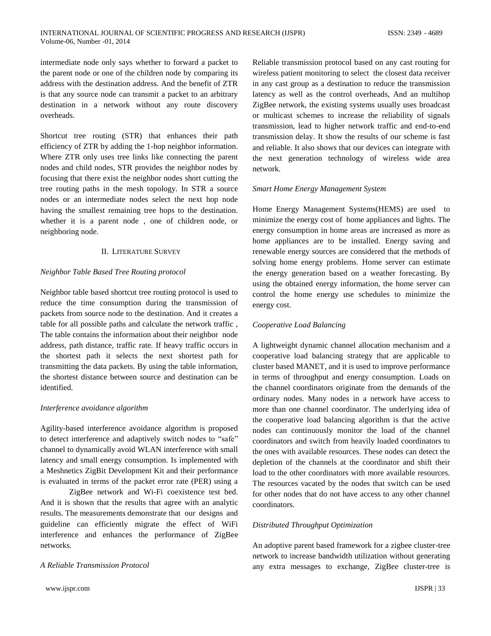intermediate node only says whether to forward a packet to the parent node or one of the children node by comparing its address with the destination address. And the benefit of ZTR is that any source node can transmit a packet to an arbitrary destination in a network without any route discovery overheads.

Shortcut tree routing (STR) that enhances their path efficiency of ZTR by adding the 1-hop neighbor information. Where ZTR only uses tree links like connecting the parent nodes and child nodes, STR provides the neighbor nodes by focusing that there exist the neighbor nodes short cutting the tree routing paths in the mesh topology. In STR a source nodes or an intermediate nodes select the next hop node having the smallest remaining tree hops to the destination. whether it is a parent node , one of children node, or neighboring node.

## II. LITERATURE SURVEY

## *Neighbor Table Based Tree Routing protocol*

Neighbor table based shortcut tree routing protocol is used to reduce the time consumption during the transmission of packets from source node to the destination. And it creates a table for all possible paths and calculate the network traffic , The table contains the information about their neighbor node address, path distance, traffic rate. If heavy traffic occurs in the shortest path it selects the next shortest path for transmitting the data packets. By using the table information, the shortest distance between source and destination can be identified.

### *Interference avoidance algorithm*

Agility-based interference avoidance algorithm is proposed to detect interference and adaptively switch nodes to "safe" channel to dynamically avoid WLAN interference with small latency and small energy consumption. Is implemented with a Meshnetics ZigBit Development Kit and their performance is evaluated in terms of the packet error rate (PER) using a

ZigBee network and Wi-Fi coexistence test bed. And it is shown that the results that agree with an analytic results. The measurements demonstrate that our designs and guideline can efficiently migrate the effect of WiFi interference and enhances the performance of ZigBee networks.

# *A Reliable Transmission Protocol*

Reliable transmission protocol based on any cast routing for wireless patient monitoring to select the closest data receiver in any cast group as a destination to reduce the transmission latency as well as the control overheads, And an multihop ZigBee network, the existing systems usually uses broadcast or multicast schemes to increase the reliability of signals transmission, lead to higher network traffic and end-to-end transmission delay. It show the results of our scheme is fast and reliable. It also shows that our devices can integrate with the next generation technology of wireless wide area network.

### *Smart Home Energy Management System*

Home Energy Management Systems(HEMS) are used to minimize the energy cost of home appliances and lights. The energy consumption in home areas are increased as more as home appliances are to be installed. Energy saving and renewable energy sources are considered that the methods of solving home energy problems. Home server can estimate the energy generation based on a weather forecasting. By using the obtained energy information, the home server can control the home energy use schedules to minimize the energy cost.

# *Cooperative Load Balancing*

A lightweight dynamic channel allocation mechanism and a cooperative load balancing strategy that are applicable to cluster based MANET, and it is used to improve performance in terms of throughput and energy consumption. Loads on the channel coordinators originate from the demands of the ordinary nodes. Many nodes in a network have access to more than one channel coordinator. The underlying idea of the cooperative load balancing algorithm is that the active nodes can continuously monitor the load of the channel coordinators and switch from heavily loaded coordinators to the ones with available resources. These nodes can detect the depletion of the channels at the coordinator and shift their load to the other coordinators with more available resources. The resources vacated by the nodes that switch can be used for other nodes that do not have access to any other channel coordinators.

# *Distributed Throughput Optimization*

An adoptive parent based framework for a zigbee cluster-tree network to increase bandwidth utilization without generating any extra messages to exchange, ZigBee cluster-tree is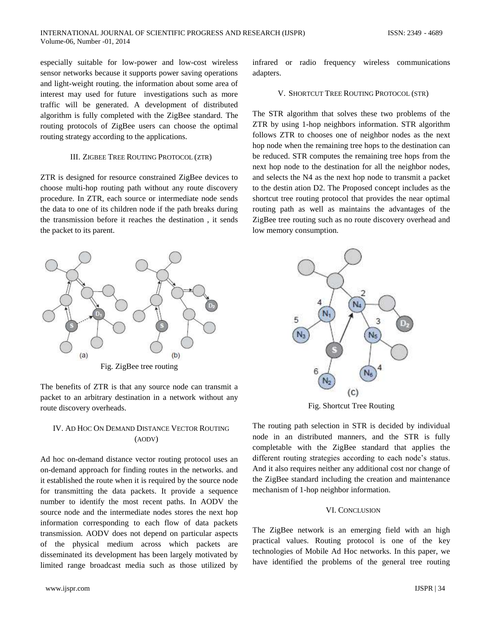especially suitable for low-power and low-cost wireless sensor networks because it supports power saving operations and light-weight routing. the information about some area of interest may used for future investigations such as more traffic will be generated. A development of distributed algorithm is fully completed with the ZigBee standard. The routing protocols of ZigBee users can choose the optimal routing strategy according to the applications.

#### III. ZIGBEE TREE ROUTING PROTOCOL (ZTR)

ZTR is designed for resource constrained ZigBee devices to choose multi-hop routing path without any route discovery procedure. In ZTR, each source or intermediate node sends the data to one of its children node if the path breaks during the transmission before it reaches the destination , it sends the packet to its parent.



Fig. ZigBee tree routing

The benefits of ZTR is that any source node can transmit a packet to an arbitrary destination in a network without any route discovery overheads.

## IV. AD HOC ON DEMAND DISTANCE VECTOR ROUTING (AODV)

Ad hoc on-demand distance vector routing protocol uses an on-demand approach for finding routes in the networks. and it established the route when it is required by the source node for transmitting the data packets. It provide a sequence number to identify the most recent paths. In AODV the source node and the intermediate nodes stores the next hop information corresponding to each flow of data packets transmission. AODV does not depend on particular aspects of the physical medium across which packets are disseminated its development has been largely motivated by limited range broadcast media such as those utilized by infrared or radio frequency wireless communications adapters.

#### V. SHORTCUT TREE ROUTING PROTOCOL (STR)

The STR algorithm that solves these two problems of the ZTR by using 1-hop neighbors information. STR algorithm follows ZTR to chooses one of neighbor nodes as the next hop node when the remaining tree hops to the destination can be reduced. STR computes the remaining tree hops from the next hop node to the destination for all the neighbor nodes, and selects the N4 as the next hop node to transmit a packet to the destin ation D2. The Proposed concept includes as the shortcut tree routing protocol that provides the near optimal routing path as well as maintains the advantages of the ZigBee tree routing such as no route discovery overhead and low memory consumption.



Fig. Shortcut Tree Routing

The routing path selection in STR is decided by individual node in an distributed manners, and the STR is fully completable with the ZigBee standard that applies the different routing strategies according to each node's status. And it also requires neither any additional cost nor change of the ZigBee standard including the creation and maintenance mechanism of 1-hop neighbor information.

#### VI. CONCLUSION

The ZigBee network is an emerging field with an high practical values. Routing protocol is one of the key technologies of Mobile Ad Hoc networks. In this paper, we have identified the problems of the general tree routing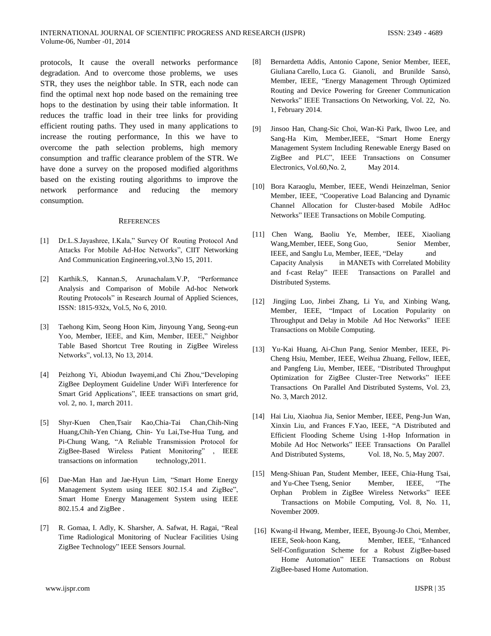protocols, It cause the overall networks performance degradation. And to overcome those problems, we uses STR, they uses the neighbor table. In STR, each node can find the optimal next hop node based on the remaining tree hops to the destination by using their table information. It reduces the traffic load in their tree links for providing efficient routing paths. They used in many applications to increase the routing performance, In this we have to overcome the path selection problems, high memory consumption and traffic clearance problem of the STR. We have done a survey on the proposed modified algorithms based on the existing routing algorithms to improve the network performance and reducing the memory consumption.

#### **REFERENCES**

- [1] Dr.L.S.Jayashree, I.Kala," Survey Of Routing Protocol And Attacks For Mobile Ad-Hoc Networks", CIIT Networking And Communication Engineering,vol.3,No 15, 2011.
- [2] Karthik.S, Kannan.S, Arunachalam.V.P, "Performance Analysis and Comparison of Mobile Ad-hoc Network Routing Protocols" in Research Journal of Applied Sciences, ISSN: 1815-932x, Vol.5, No 6, 2010.
- [3] Taehong Kim, Seong Hoon Kim, Jinyoung Yang, Seong-eun Yoo, Member, IEEE, and Kim, Member, IEEE," Neighbor Table Based Shortcut Tree Routing in ZigBee Wireless Networks", vol.13, No 13, 2014.
- [4] Peizhong Yi, Abiodun Iwayemi,and Chi Zhou,"Developing ZigBee Deployment Guideline Under WiFi Interference for Smart Grid Applications", IEEE transactions on smart grid, vol. 2, no. 1, march 2011.
- [5] Shyr-Kuen Chen,Tsair Kao,Chia-Tai Chan,Chih-Ning Huang,Chih-Yen Chiang, Chin- Yu Lai,Tse-Hua Tung, and Pi-Chung Wang, "A Reliable Transmission Protocol for ZigBee-Based Wireless Patient Monitoring" , IEEE transactions on information technology,2011.
- [6] Dae-Man Han and Jae-Hyun Lim, "Smart Home Energy Management System using IEEE 802.15.4 and ZigBee", Smart Home Energy Management System using IEEE 802.15.4 and ZigBee .
- [7] R. Gomaa, I. Adly, K. Sharsher, A. Safwat, H. Ragai, "Real Time Radiological Monitoring of Nuclear Facilities Using ZigBee Technology" IEEE Sensors Journal.
- [8] Bernardetta Addis, Antonio Capone*,* Senior Member, IEEE, Giuliana Carello, Luca G. Gianoli, and Brunilde Sansò, Member, IEEE, "Energy Management Through Optimized Routing and Device Powering for Greener Communication Networks" IEEE Transactions On Networking, Vol. 22, No. 1, February 2014.
- [9] Jinsoo Han, Chang-Sic Choi, Wan-Ki Park, Ilwoo Lee, and Sang-Ha Kim, Member,IEEE, "Smart Home Energy Management System Including Renewable Energy Based on ZigBee and PLC", IEEE Transactions on Consumer Electronics, Vol.60, No. 2, May 2014.
- [10] Bora Karaoglu, Member, IEEE, Wendi Heinzelman, Senior Member, IEEE, "Cooperative Load Balancing and Dynamic Channel Allocation for Cluster-based Mobile AdHoc Networks" IEEE Transactions on Mobile Computing.
- [11] Chen Wang, Baoliu Ye, Member, IEEE, Xiaoliang Wang, Member, IEEE, Song Guo, Senior Member, IEEE, and Sanglu Lu, Member, IEEE, "Delay and Capacity Analysis in MANETs with Correlated Mobility and f-cast Relay" IEEE Transactions on Parallel and Distributed Systems.
- [12] Jingjing Luo, Jinbei Zhang, Li Yu, and Xinbing Wang, Member, IEEE, "Impact of Location Popularity on Throughput and Delay in Mobile Ad Hoc Networks" IEEE Transactions on Mobile Computing.
- [13]Yu-Kai Huang, Ai-Chun Pang, Senior Member, IEEE, Pi-Cheng Hsiu, Member, IEEE, Weihua Zhuang, Fellow, IEEE, and Pangfeng Liu, Member, IEEE, "Distributed Throughput Optimization for ZigBee Cluster-Tree Networks" IEEE Transactions On Parallel And Distributed Systems, Vol. 23, No. 3, March 2012.
- [14] Hai Liu, Xiaohua Jia, Senior Member, IEEE, Peng-Jun Wan, Xinxin Liu, and Frances F.Yao, IEEE, "A Distributed and Efficient Flooding Scheme Using 1-Hop Information in Mobile Ad Hoc Networks" IEEE Transactions On Parallel And Distributed Systems, Vol. 18, No. 5, May 2007.
- [15] Meng-Shiuan Pan, Student Member, IEEE, Chia-Hung Tsai, and Yu-Chee Tseng, Senior Member, IEEE, "The Orphan Problem in ZigBee Wireless Networks" IEEE Transactions on Mobile Computing, Vol. 8, No. 11, November 2009.
- [16] Kwang-il Hwang, Member, IEEE, Byoung-Jo Choi, Member, IEEE, Seok-hoon Kang, Member, IEEE, "Enhanced Self-Configuration Scheme for a Robust ZigBee-based Home Automation" IEEE Transactions on Robust ZigBee-based Home Automation.